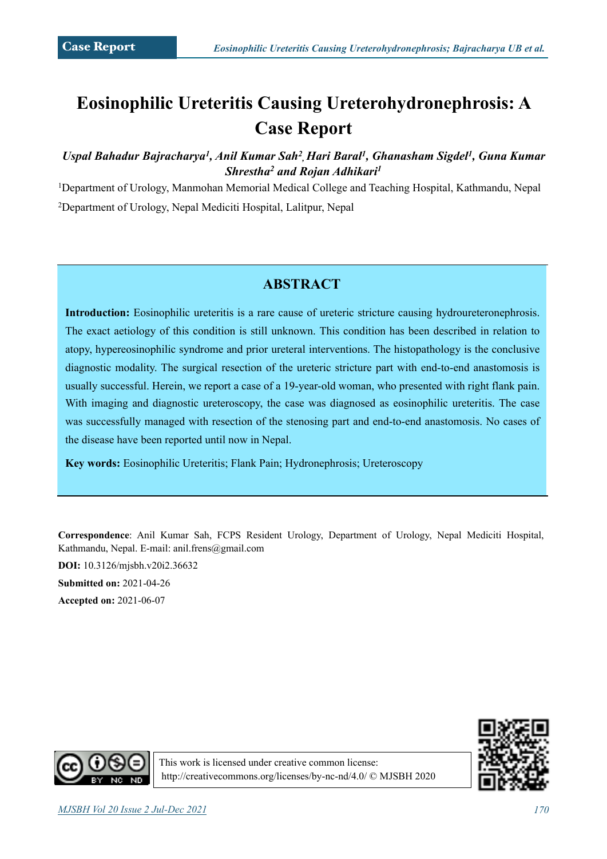# **Eosinophilic Ureteritis Causing Ureterohydronephrosis: A Case Report**

### Uspal Bahadur Bajracharya<sup>1</sup>, Anil Kumar Sah<sup>2</sup>, Hari Baral<sup>1</sup>, Ghanasham Sigdel<sup>1</sup>, Guna Kumar *Shrestha2 and Rojan Adhikari1*

1Department of Urology, Manmohan Memorial Medical College and Teaching Hospital, Kathmandu, Nepal 2Department of Urology, Nepal Mediciti Hospital, Lalitpur, Nepal

# **ABSTRACT**

**Introduction:** Eosinophilic ureteritis is a rare cause of ureteric stricture causing hydroureteronephrosis. The exact aetiology of this condition is still unknown. This condition has been described in relation to atopy, hypereosinophilic syndrome and prior ureteral interventions. The histopathology is the conclusive diagnostic modality. The surgical resection of the ureteric stricture part with end-to-end anastomosis is usually successful. Herein, we report a case of a 19-year-old woman, who presented with right flank pain. With imaging and diagnostic ureteroscopy, the case was diagnosed as eosinophilic ureteritis. The case was successfully managed with resection of the stenosing part and end-to-end anastomosis. No cases of the disease have been reported until now in Nepal.

**Key words:** Eosinophilic Ureteritis; Flank Pain; Hydronephrosis; Ureteroscopy

**Correspondence**: Anil Kumar Sah, FCPS Resident Urology, Department of Urology, Nepal Mediciti Hospital, Kathmandu, Nepal. E-mail: anil.frens@gmail.com

**DOI:** 10.3126/mjsbh.v20i2.36632

**Submitted on:** 2021-04-26 **Accepted on:** 2021-06-07





This work is licensed under creative common license: <http://creativecommons.org/licenses/by-nc-nd/4.0/>© MJSBH 2020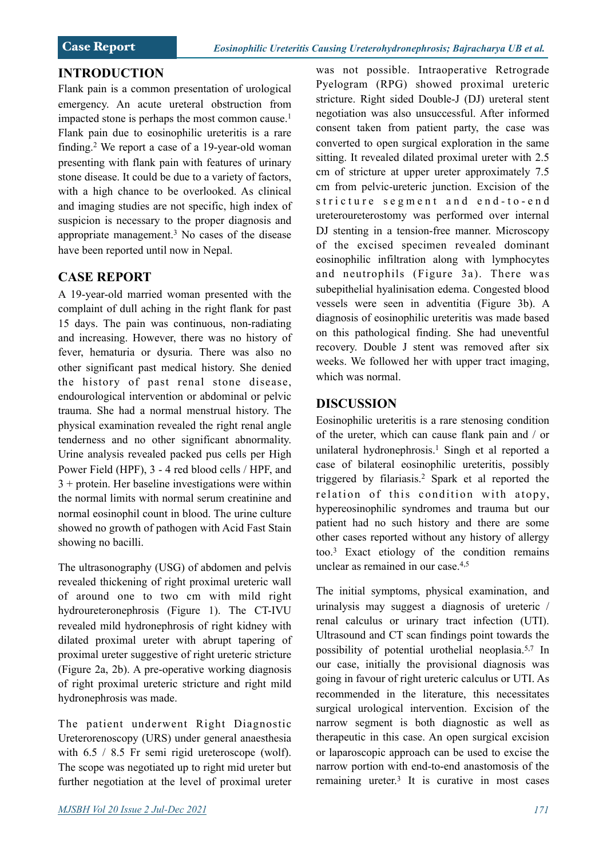#### **INTRODUCTION**

Flank pain is a common presentation of urological emergency. An acute ureteral obstruction from impacted stone is perhaps the most common cause.<sup>1</sup> Flank pain due to eosinophilic ureteritis is a rare finding.2 We report a case of a 19-year-old woman presenting with flank pain with features of urinary stone disease. It could be due to a variety of factors, with a high chance to be overlooked. As clinical and imaging studies are not specific, high index of suspicion is necessary to the proper diagnosis and appropriate management.3 No cases of the disease have been reported until now in Nepal.

## **CASE REPORT**

A 19-year-old married woman presented with the complaint of dull aching in the right flank for past 15 days. The pain was continuous, non-radiating and increasing. However, there was no history of fever, hematuria or dysuria. There was also no other significant past medical history. She denied the history of past renal stone disease, endourological intervention or abdominal or pelvic trauma. She had a normal menstrual history. The physical examination revealed the right renal angle tenderness and no other significant abnormality. Urine analysis revealed packed pus cells per High Power Field (HPF), 3 - 4 red blood cells / HPF, and 3 + protein. Her baseline investigations were within the normal limits with normal serum creatinine and normal eosinophil count in blood. The urine culture showed no growth of pathogen with Acid Fast Stain showing no bacilli.

The ultrasonography (USG) of abdomen and pelvis revealed thickening of right proximal ureteric wall of around one to two cm with mild right hydroureteronephrosis (Figure 1). The CT-IVU revealed mild hydronephrosis of right kidney with dilated proximal ureter with abrupt tapering of proximal ureter suggestive of right ureteric stricture (Figure 2a, 2b). A pre-operative working diagnosis of right proximal ureteric stricture and right mild hydronephrosis was made.

The patient underwent Right Diagnostic Ureterorenoscopy (URS) under general anaesthesia with 6.5 / 8.5 Fr semi rigid ureteroscope (wolf). The scope was negotiated up to right mid ureter but further negotiation at the level of proximal ureter was not possible. Intraoperative Retrograde Pyelogram (RPG) showed proximal ureteric stricture. Right sided Double-J (DJ) ureteral stent negotiation was also unsuccessful. After informed consent taken from patient party, the case was converted to open surgical exploration in the same sitting. It revealed dilated proximal ureter with 2.5 cm of stricture at upper ureter approximately 7.5 cm from pelvic-ureteric junction. Excision of the stricture segment and end-to-end ureteroureterostomy was performed over internal DJ stenting in a tension-free manner. Microscopy of the excised specimen revealed dominant eosinophilic infiltration along with lymphocytes and neutrophils (Figure 3a). There was subepithelial hyalinisation edema. Congested blood vessels were seen in adventitia (Figure 3b). A diagnosis of eosinophilic ureteritis was made based on this pathological finding. She had uneventful recovery. Double J stent was removed after six weeks. We followed her with upper tract imaging, which was normal.

## **DISCUSSION**

Eosinophilic ureteritis is a rare stenosing condition of the ureter, which can cause flank pain and / or unilateral hydronephrosis.<sup>1</sup> Singh et al reported a case of bilateral eosinophilic ureteritis, possibly triggered by filariasis.2 Spark et al reported the relation of this condition with atopy, hypereosinophilic syndromes and trauma but our patient had no such history and there are some other cases reported without any history of allergy too.3 Exact etiology of the condition remains unclear as remained in our case.4,5

The initial symptoms, physical examination, and urinalysis may suggest a diagnosis of ureteric / renal calculus or urinary tract infection (UTI). Ultrasound and CT scan findings point towards the possibility of potential urothelial neoplasia.5,7 In our case, initially the provisional diagnosis was going in favour of right ureteric calculus or UTI. As recommended in the literature, this necessitates surgical urological intervention. Excision of the narrow segment is both diagnostic as well as therapeutic in this case. An open surgical excision or laparoscopic approach can be used to excise the narrow portion with end-to-end anastomosis of the remaining ureter.3 It is curative in most cases